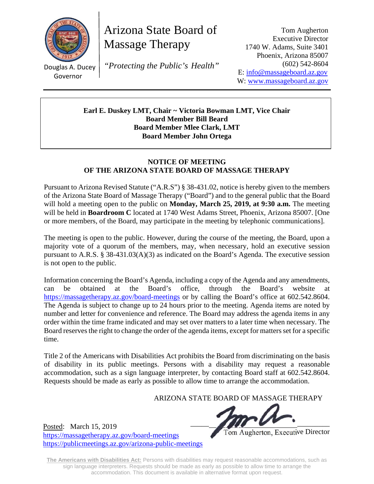

Governor

Arizona State Board of Massage Therapy

 $\frac{1}{\sqrt{2}}$ Douglas A. Ducey *"Protecting the Public's Health"*

Tom Augherton Executive Director 1740 W. Adams, Suite 3401 Phoenix, Arizona 85007 (602) 542-8604 E: info@massageboard.az.gov W: www.massageboard.az.gov

**Earl E. Duskey LMT, Chair ~ Victoria Bowman LMT, Vice Chair Board Member Bill Beard Board Member Mlee Clark, LMT Board Member John Ortega** 

## **NOTICE OF MEETING OF THE ARIZONA STATE BOARD OF MASSAGE THERAPY**

Pursuant to Arizona Revised Statute ("A.R.S") § 38-431.02, notice is hereby given to the members of the Arizona State Board of Massage Therapy ("Board") and to the general public that the Board will hold a meeting open to the public on **Monday, March 25, 2019, at 9:30 a.m.** The meeting will be held in **Boardroom C** located at 1740 West Adams Street, Phoenix, Arizona 85007. [One or more members, of the Board, may participate in the meeting by telephonic communications].

The meeting is open to the public. However, during the course of the meeting, the Board, upon a majority vote of a quorum of the members, may, when necessary, hold an executive session pursuant to A.R.S. § 38-431.03(A)(3) as indicated on the Board's Agenda. The executive session is not open to the public.

Information concerning the Board's Agenda, including a copy of the Agenda and any amendments, can be obtained at the Board's office, through the Board's website at https://massagetherapy.az.gov/board-meetings or by calling the Board's office at 602.542.8604. The Agenda is subject to change up to 24 hours prior to the meeting. Agenda items are noted by number and letter for convenience and reference. The Board may address the agenda items in any order within the time frame indicated and may set over matters to a later time when necessary. The Board reserves the right to change the order of the agenda items, except for matters set for a specific time.

Title 2 of the Americans with Disabilities Act prohibits the Board from discriminating on the basis of disability in its public meetings. Persons with a disability may request a reasonable accommodation, such as a sign language interpreter, by contacting Board staff at 602.542.8604. Requests should be made as early as possible to allow time to arrange the accommodation.

ARIZONA STATE BOARD OF MASSAGE THERAPY

 $_{\rm{th}}$  15, 2010

Tom Augherton, Executive Director

https://massagetherapy.az.gov/board-meetings https://publicmeetings.az.gov/arizona-public-meetings

Posted: March 15, 2019

**The Americans with Disabilities Act:** Persons with disabilities may request reasonable accommodations, such as sign language interpreters. Requests should be made as early as possible to allow time to arrange the accommodation. This document is available in alternative format upon request.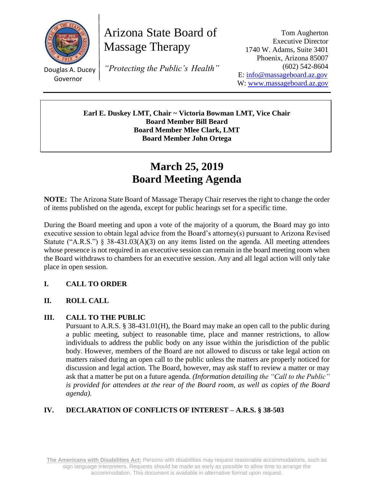

Arizona State Board of Massage Therapy

Douglas A. Ducey Governor

*"Protecting the Public's Health"*

Tom Augherton Executive Director 1740 W. Adams, Suite 3401 Phoenix, Arizona 85007 (602) 542-8604 E: [info@massageboard.az.gov](mailto:info@massageboard.az.gov) W: [www.massageboard.az.gov](http://www.massageboard.az.gov/)

**Earl E. Duskey LMT, Chair ~ Victoria Bowman LMT, Vice Chair Board Member Bill Beard Board Member Mlee Clark, LMT Board Member John Ortega**

# **March 25, 2019 Board Meeting Agenda**

**NOTE:** The Arizona State Board of Massage Therapy Chair reserves the right to change the order of items published on the agenda, except for public hearings set for a specific time.

During the Board meeting and upon a vote of the majority of a quorum, the Board may go into executive session to obtain legal advice from the Board's attorney(s) pursuant to Arizona Revised Statute ("A.R.S.") § 38-431.03(A)(3) on any items listed on the agenda. All meeting attendees whose presence is not required in an executive session can remain in the board meeting room when the Board withdraws to chambers for an executive session. Any and all legal action will only take place in open session.

## **I. CALL TO ORDER**

## **II. ROLL CALL**

## **III. CALL TO THE PUBLIC**

Pursuant to A.R.S. § 38-431.01(H), the Board may make an open call to the public during a public meeting, subject to reasonable time, place and manner restrictions, to allow individuals to address the public body on any issue within the jurisdiction of the public body. However, members of the Board are not allowed to discuss or take legal action on matters raised during an open call to the public unless the matters are properly noticed for discussion and legal action. The Board, however, may ask staff to review a matter or may ask that a matter be put on a future agenda. *(Information detailing the "Call to the Public" is provided for attendees at the rear of the Board room, as well as copies of the Board agenda).* 

## **IV. DECLARATION OF CONFLICTS OF INTEREST – A.R.S. § 38-503**

**The Americans with Disabilities Act:** Persons with disabilities may request reasonable accommodations, such as sign language interpreters. Requests should be made as early as possible to allow time to arrange the accommodation. This document is available in alternative format upon request.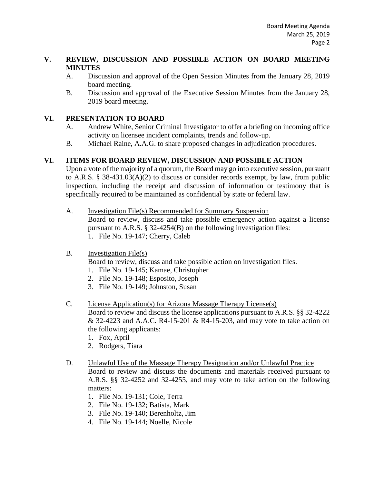### **V. REVIEW, DISCUSSION AND POSSIBLE ACTION ON BOARD MEETING MINUTES**

- A. Discussion and approval of the Open Session Minutes from the January 28, 2019 board meeting.
- B. Discussion and approval of the Executive Session Minutes from the January 28, 2019 board meeting.

## **VI. PRESENTATION TO BOARD**

- A. Andrew White, Senior Criminal Investigator to offer a briefing on incoming office activity on licensee incident complaints, trends and follow-up.
- B. Michael Raine, A.A.G. to share proposed changes in adjudication procedures.

## **VI. ITEMS FOR BOARD REVIEW, DISCUSSION AND POSSIBLE ACTION**

Upon a vote of the majority of a quorum, the Board may go into executive session, pursuant to A.R.S. § 38-431.03(A)(2) to discuss or consider records exempt, by law, from public inspection, including the receipt and discussion of information or testimony that is specifically required to be maintained as confidential by state or federal law.

- A. Investigation File(s) Recommended for Summary Suspension Board to review, discuss and take possible emergency action against a license pursuant to A.R.S. § 32-4254(B) on the following investigation files:
	- 1. File No. 19-147; Cherry, Caleb

## B. Investigation File(s)

Board to review, discuss and take possible action on investigation files.

- 1. File No. 19-145; Kamae, Christopher
- 2. File No. 19-148; Esposito, Joseph
- 3. File No. 19-149; Johnston, Susan

#### C. License Application(s) for Arizona Massage Therapy License(s)

Board to review and discuss the license applications pursuant to A.R.S. §§ 32-4222 & 32-4223 and A.A.C. R4-15-201 & R4-15-203, and may vote to take action on the following applicants:

- 1. Fox, April
- 2. Rodgers, Tiara
- D. Unlawful Use of the Massage Therapy Designation and/or Unlawful Practice Board to review and discuss the documents and materials received pursuant to A.R.S. §§ 32-4252 and 32-4255, and may vote to take action on the following matters:
	- 1. File No. 19-131; Cole, Terra
	- 2. File No. 19-132; Batista, Mark
	- 3. File No. 19-140; Berenholtz, Jim
	- 4. File No. 19-144; Noelle, Nicole